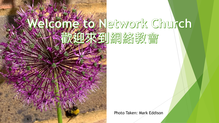

# Herwork Church 到網絡教會

Photo Taken: Mark Eddison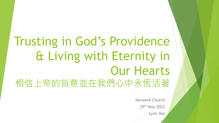## Trusting in God"s Providence & Living with Eternity in Our Hearts 相信上帝的旨意並在我們心中永恆活著

Network Church 29th May 2022 Lynn Yee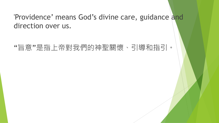#### 'Providence' means God's divine care, guidance and direction over us.

#### "旨意"是指上帝對我們的神聖關懷、引導和指引。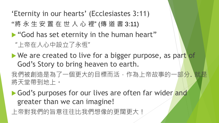'Eternity in our hearts' (Ecclesiastes 3:11)

"將 永 生 安 置 在 世 人 心 裡" (傳 道 書 3:11)

God has set eternity in the human heart"

"上帝在人心中設立了永恆"

We are created to live for a bigger purpose, as part of God"s Story to bring heaven to earth.

我們被創造是為了一個更大的目標而活,作為上帝故事的一部分. 就是 將天堂帶到地上。

God's purposes for our lives are often far wider and greater than we can imagine!

上帝對我們的旨意往往比我們想像的更闊更大!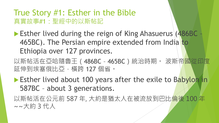#### True Story #1: Esther in the Bible 真實故事#1:聖經中的以斯帖記

- ▶ Esther lived during the reign of King Ahasuerus (486BC 465BC). The Persian empire extended from India to Ethiopia over 127 provinces.
- 以斯帖活在亞哈隨魯王 (486BC 465BC) 統治時期。 波斯帝國從印度 延伸到埃塞俄比亞,橫跨 127 個省。
- Esther lived about 100 years after the exile to Babylon in 587BC – about 3 generations.

以斯帖活在公元前 587 年, 大約是猶太人在被流放到巴比倫後 100 年 ~~大約 3 代人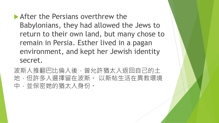**After the Persians overthrew the** Babylonians, they had allowed the Jews to return to their own land, but many chose to remain in Persia. Esther lived in a pagan environment, and kept her Jewish identity secret.

波斯人推翻巴比倫人後,曾允許猶太人返回自己的土 地,但許多人選擇留在波斯。 以斯帖生活在異教環境 中,並保密她的猶太人身份。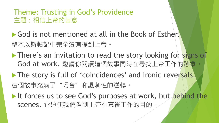#### Theme: Trusting in God's Providence 主題:相信上帝的旨意

God is not mentioned at all in the Book of Esther. 整本以斯帖記中完全沒有提到上帝。

- There's an invitation to read the story looking for signs of God at work. 邀請你閱讀這個故事同時在尋找上帝工作的跡象。
- The story is full of 'coincidences' and ironic reversals. 這個故事充滿了"巧合"和諷刺性的逆轉。
- It forces us to see God's purposes at work, but behind the scenes. 它迫使我們看到上帝在幕後工作的目的。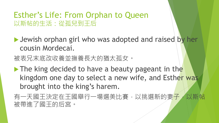#### Esther's Life: From Orphan to Queen 以斯帖的生活:從孤兒到王后

**I** Jewish orphan girl who was adopted and raised by her cousin Mordecai.

被表兄末底改收養並撫養長大的猶太孤女。

The king decided to have a beauty pageant in the kingdom one day to select a new wife, and Esther was brought into the king's harem.

有一天國王決定在王國舉行一場選美比賽,以挑選新的妻子,以斯帖 被帶進了國王的后宮。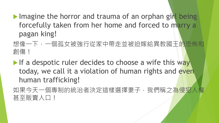$\blacktriangleright$  Imagine the horror and trauma of an orphan girl being forcefully taken from her home and forced to marry a pagan king!

想像一下,一個孤女被強行從家中帶走並被迫嫁給異教國王的恐怖和 創傷!

If a despotic ruler decides to choose a wife this way today, we call it a violation of human rights and even human trafficking!

如果今天一個專制的統治者決定這樣選擇妻子,我們稱之為侵犯人權 甚至販賣人口!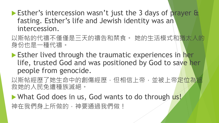- **Esther's intercession wasn't just the 3 days of prayer &** fasting. Esther's life and Jewish identity was an intercession.
- 以斯帖的代禱不僅僅是三天的禱告和禁食。 她的生活模式和猶太人的 身份也是一種代禱。
- **Esther lived through the traumatic experiences in her** life, trusted God and was positioned by God to save her people from genocide.
- 以斯帖經歷了她生命中的創傷經歷,但相信上帝,並被上帝定位為拯 救她的人民免遭種族滅絕。
- What God does in us, God wants to do through us! 神在我們身上所做的,神要通過我們做!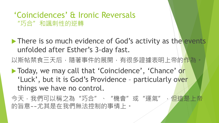#### "Coincidences" & Ironic Reversals "巧合"和諷刺性的逆轉

- There is so much evidence of God's activity as the events unfolded after Esther's 3-day fast.
- 以斯帖禁食三天后,隨著事件的展開,有很多證據表明上帝的作為。
- ▶ Today, we may call that 'Coincidence', 'Chance' or 'Luck', but it is God's Providence - particularly over things we have no control.
- 今天,我們可以稱之為"巧合"、"機會"或"運氣",但這是上帝 的旨意~~尤其是在我們無法控制的事情上。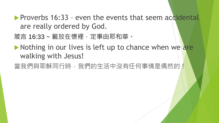- **Proverbs 16:33 even the events that seem accidental** are really ordered by God.
- 箴言 16:33 ~ 籤放在懷裡, 定事由耶和華。
- $\blacktriangleright$  Nothing in our lives is left up to chance when we are walking with Jesus!
- 當我們與耶穌同行時,我們的生活中沒有任何事情是偶然的!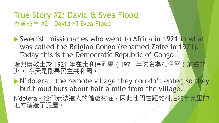True Story #2: David & Svea Flood 真實故事 #2: David 和 Svea Flood

▶ Swedish missionaries who went to Africa in 1921 in what was called the Belgian Congo (renamed Zaire in 1971). Today this is the Democratic Republic of Congo.

瑞典傳教士於 1921 年在比利時剛果 (1971 年改名為扎伊爾) 前往非 洲。 今天是剛果民主共和國。

- N'dolera the remote village they couldn't enter, so they built mud huts about half a mile from the village.
- N'dolera 他們無法進入的偏遠村莊,因此他們在距離村莊約半英里的 地方建造了泥屋。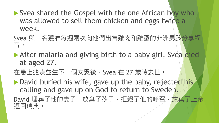- Svea shared the Gospel with the one African boy who was allowed to sell them chicken and eggs twice a week.
- Svea 與一名獲准每週兩次向他們出售雞肉和雞蛋的非洲男孩分享福 音。
- After malaria and giving birth to a baby girl, Svea died at aged 27.
- 在患上瘧疾並生下一個女嬰後,Svea 在 27 歲時去世。
- ▶ David buried his wife, gave up the baby, rejected his calling and gave up on God to return to Sweden. David 埋葬了他的妻子,放棄了孩子,拒絕了他的呼召,放棄了上帝 返回瑞典。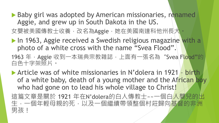- ▶ Baby girl was adopted by American missionaries, renamed Aggie, and grew up in South Dakota in the US. 女嬰被美國傳教士收養,改名為Aggie,她在美國南達科他州長大。
- **In 1963, Aggie received a Swedish religious magazine with a** photo of a white cross with the name "Svea Flood".
- 1963年, Aggie 收到一本瑞典宗教雜誌, 上面有一張名為"Svea Flood"的 白色十字架照片。
- Article was of white missionaries in N"dolera in 1921 birth of a white baby, death of a young mother and the African boy who had gone on to lead his whole village to Christ!
- 這篇文章是關於 1921 年在N"dolera的白人傳教士~~一個白人嬰兒的出 生,一個年輕母親的死,以及一個繼續帶領整個村莊歸向基督的非洲 男孩!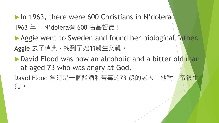In 1963, there were 600 Christians in N'dolera! 1963 年 · N'dolera有 600 名基督徒 !

Aggie went to Sweden and found her biological father. Aggie 去了瑞典, 找到了她的親生父親。

▶ David Flood was now an alcoholic and a bitter old man at aged 73 who was angry at God.

David Flood 當時是一個酗酒和苦毒的73 歲的老人, 他對上帝很生 氣。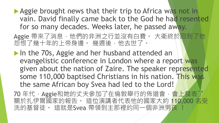Aggie brought news that their trip to Africa was not in vain. David finally came back to the God he had resented for so many decades. Weeks later, he passed away.

Aggie 帶來了消息,他們的非洲之行並沒有白費。 大衛終於<mark>回到了他</mark> 怨恨了幾十年的上帝身邊。 幾週後,他去世了。

In the 70s, Aggie and her husband attended an evangelistic conference in London where a report was given about the nation of Zaire. The speaker represented some 110,000 baptised Christians in his nation. This was the same African boy Svea had led to the Lord!

70年代,Aggie和她的丈夫參加了在倫敦舉行的佈道會,會上發表了 關於扎伊爾國家的報告。 這位演講者代表他的國家大約 110,000 名受 洗的基督徒。 這就是Svea 帶領到主那裡的同一個非洲男孩 !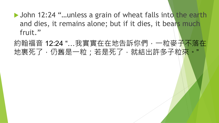▶ John 12:24 "...unless a grain of wheat falls into the earth and dies, it remains alone; but if it dies, it bears much fruit."

約翰福音 12:24 "…我實實在在地告訴你們,一粒麥子不落在 地裏死了,仍舊是一粒;若是死了,就結出許多子粒<mark>來。"</mark>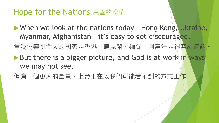### Hope for the Nations 萬國的盼望

▶ When we look at the nations today - Hong Kong, Ukraine, Myanmar, Afghanistan - it's easy to get discouraged. 當我們審視今天的國家~~香港、烏克蘭、緬甸、阿富汗~~很容易氣餒!。 But there is a bigger picture, and God is at work in ways we may not see.

但有一個更大的圖景,上帝正在以我們可能看不到的方式工作。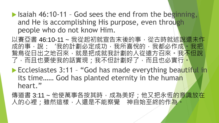- $\blacktriangleright$  Isaiah 46:10-11 God sees the end from the beginning, and He is accomplishing His purpose, even through people who do not know Him.
- 以賽亞書 46:10-11 ~ 我從起初就宣告末後的事, 從古時就述說還未作 成的事,說:"我的計劃必定成功,我所喜悅的,我都必作成。我把 鷙鳥從日出之地召來,就是把成就我計劃的人從遠方召來。我不但說 了,而且也要使我的話實現;我不但計劃好了,而且也必實行。
- **Ecclesiastes 3:11 "God has made everything beautiful in** its time…… God has planted eternity in the human heart."
- 傳道書 3:11 ~ 他使萬事各按其時, 成為美好; 他又把永恆<mark>的意識放在</mark> 人的心裡;雖然這樣,人還是不能察覺 神自始至終的作為。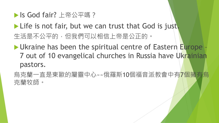▶ Is God fair? 上帝公平嗎?

Life is not fair, but we can trust that God is just. 生活是不公平的,但我們可以相信上帝是公正的。

Ukraine has been the spiritual centre of Eastern Europe -7 out of 10 evangelical churches in Russia have Ukrainian pastors.

烏克蘭一直是東歐的屬靈中心~~俄羅斯10個福音派教會中有7個擁有烏 克蘭牧師。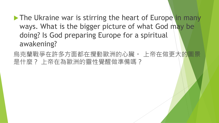- The Ukraine war is stirring the heart of Europe in many ways. What is the bigger picture of what God may be doing? Is God preparing Europe for a spiritual awakening?
- 烏克蘭戰爭在許多方面都在攪動歐洲的心臟。 上帝在做更大<mark>的圖</mark>景 是什麼? 上帝在為歐洲的靈性覺醒做準備嗎?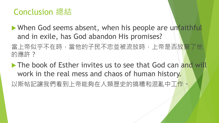### Conclusion 總結

• When God seems absent, when his people are unfaithful and in exile, has God abandon His promises?

當上帝似乎不在時,當他的子民不忠並被流放時,上帝是否放棄了他 的應許?

The book of Esther invites us to see that God can and will work in the real mess and chaos of human history. 以斯帖記讓我們看到上帝能夠在人類歷史的搞糟和混亂中工作。